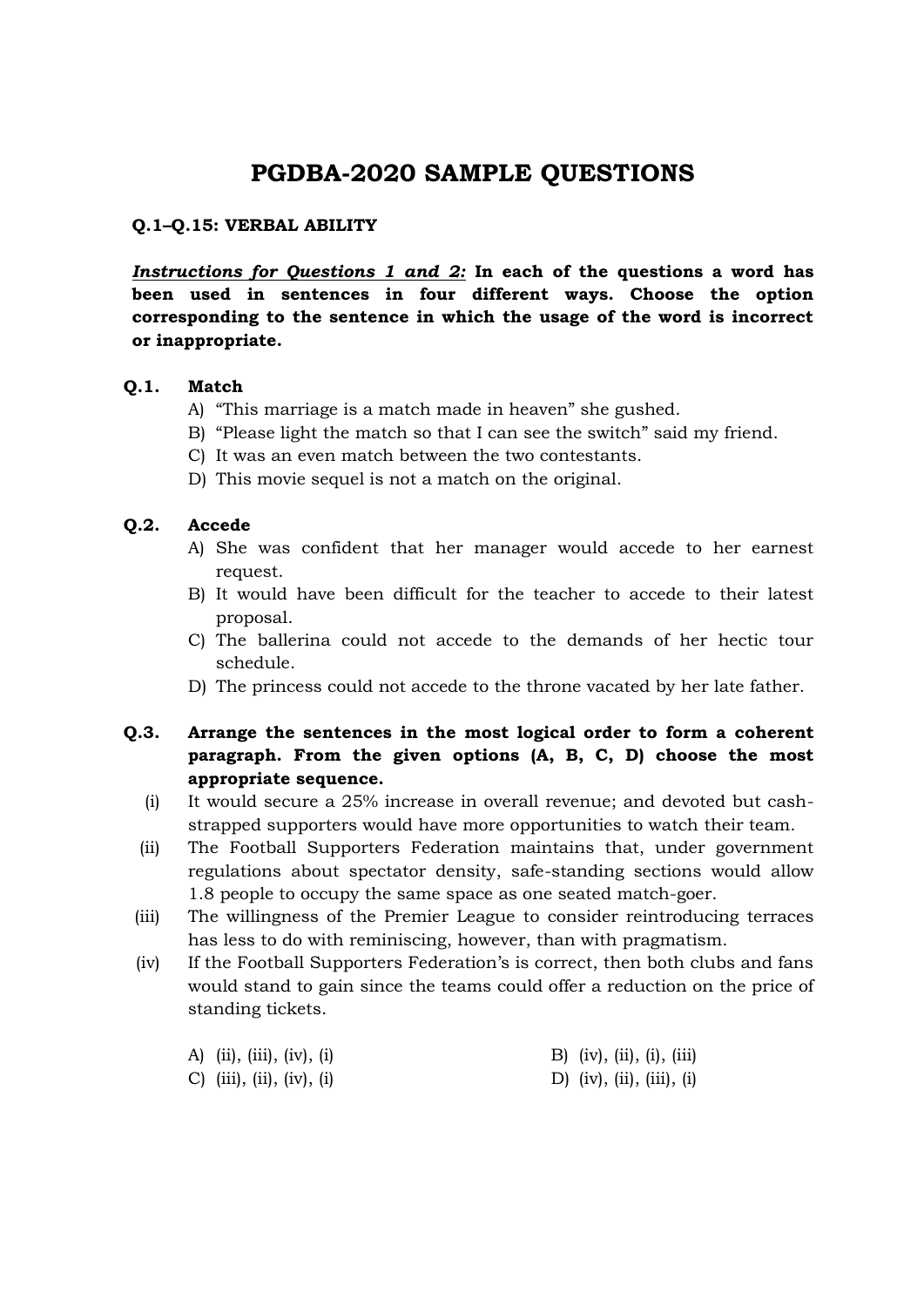# **PGDBA-2020 SAMPLE QUESTIONS**

# **Q.1–Q.15: VERBAL ABILITY**

*Instructions for Questions 1 and 2:* **In each of the questions a word has been used in sentences in four different ways. Choose the option corresponding to the sentence in which the usage of the word is incorrect or inappropriate.**

#### **Q.1. Match**

- A) "This marriage is a match made in heaven" she gushed.
- B) "Please light the match so that I can see the switch" said my friend.
- C) It was an even match between the two contestants.
- D) This movie sequel is not a match on the original.

#### **Q.2. Accede**

- A) She was confident that her manager would accede to her earnest request.
- B) It would have been difficult for the teacher to accede to their latest proposal.
- C) The ballerina could not accede to the demands of her hectic tour schedule.
- D) The princess could not accede to the throne vacated by her late father.
- **Q.3. Arrange the sentences in the most logical order to form a coherent paragraph. From the given options (A, B, C, D) choose the most appropriate sequence.**
	- (i) It would secure a 25% increase in overall revenue; and devoted but cashstrapped supporters would have more opportunities to watch their team.
	- (ii) The Football Supporters Federation maintains that, under government regulations about spectator density, safe-standing sections would allow 1.8 people to occupy the same space as one seated match-goer.
	- (iii) The willingness of the Premier League to consider reintroducing terraces has less to do with reminiscing, however, than with pragmatism.
	- (iv) If the Football Supporters Federation"s is correct, then both clubs and fans would stand to gain since the teams could offer a reduction on the price of standing tickets.

| A) (ii), (iii), (iv), (i)            | B) (iv), (ii), (i), (iii) |
|--------------------------------------|---------------------------|
| C) $(iii)$ , $(ii)$ , $(iv)$ , $(i)$ | D) (iv), (ii), (iii), (i) |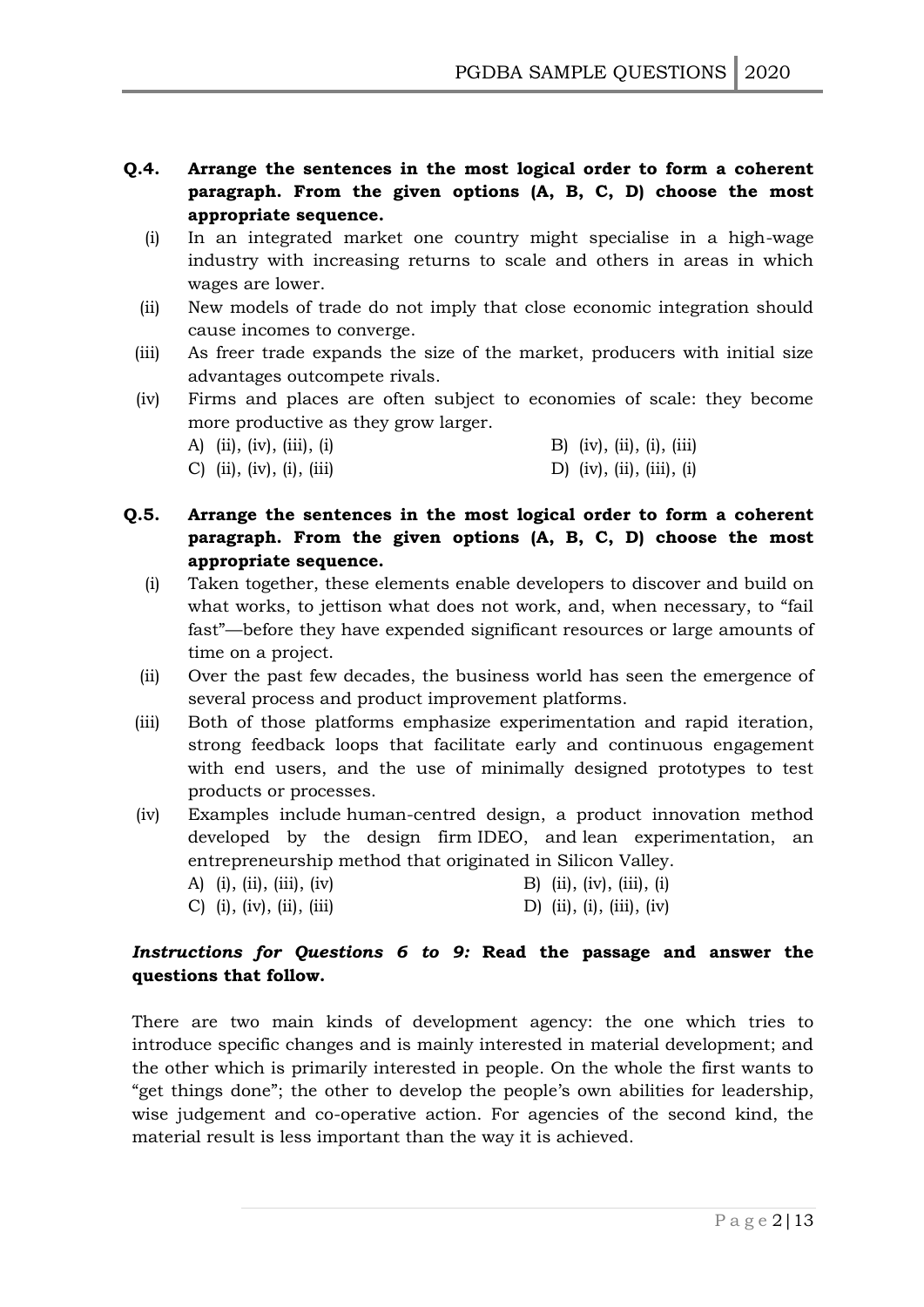- **Q.4. Arrange the sentences in the most logical order to form a coherent paragraph. From the given options (A, B, C, D) choose the most appropriate sequence.**
	- (i) In an integrated market one country might specialise in a high-wage industry with increasing returns to scale and others in areas in which wages are lower.
	- (ii) New models of trade do not imply that close economic integration should cause incomes to converge.
	- (iii) As freer trade expands the size of the market, producers with initial size advantages outcompete rivals.
	- (iv) Firms and places are often subject to economies of scale: they become more productive as they grow larger.

| A) (ii), (iv), (iii), (i) | B) (iv), (ii), (i), (iii) |  |
|---------------------------|---------------------------|--|
| C) (ii), (iv), (i), (iii) | D) (iv), (ii), (iii), (i) |  |

- **Q.5. Arrange the sentences in the most logical order to form a coherent paragraph. From the given options (A, B, C, D) choose the most appropriate sequence.**
	- (i) Taken together, these elements enable developers to discover and build on what works, to jettison what does not work, and, when necessary, to "fail fast"—before they have expended significant resources or large amounts of time on a project.
	- (ii) Over the past few decades, the business world has seen the emergence of several process and product improvement platforms.
	- (iii) Both of those platforms emphasize experimentation and rapid iteration, strong feedback loops that facilitate early and continuous engagement with end users, and the use of minimally designed prototypes to test products or processes.
	- (iv) Examples include human-centred design, a product innovation method developed by the design firm IDEO, and lean experimentation, an entrepreneurship method that originated in Silicon Valley.

| A) (i), (ii), (iii), (iv) | B) (ii), (iv), (iii), (i) |
|---------------------------|---------------------------|
| C) (i), (iv), (ii), (iii) | D) (ii), (i), (iii), (iv) |

# *Instructions for Questions 6 to 9:* **Read the passage and answer the questions that follow.**

There are two main kinds of development agency: the one which tries to introduce specific changes and is mainly interested in material development; and the other which is primarily interested in people. On the whole the first wants to "get things done"; the other to develop the people"s own abilities for leadership, wise judgement and co-operative action. For agencies of the second kind, the material result is less important than the way it is achieved.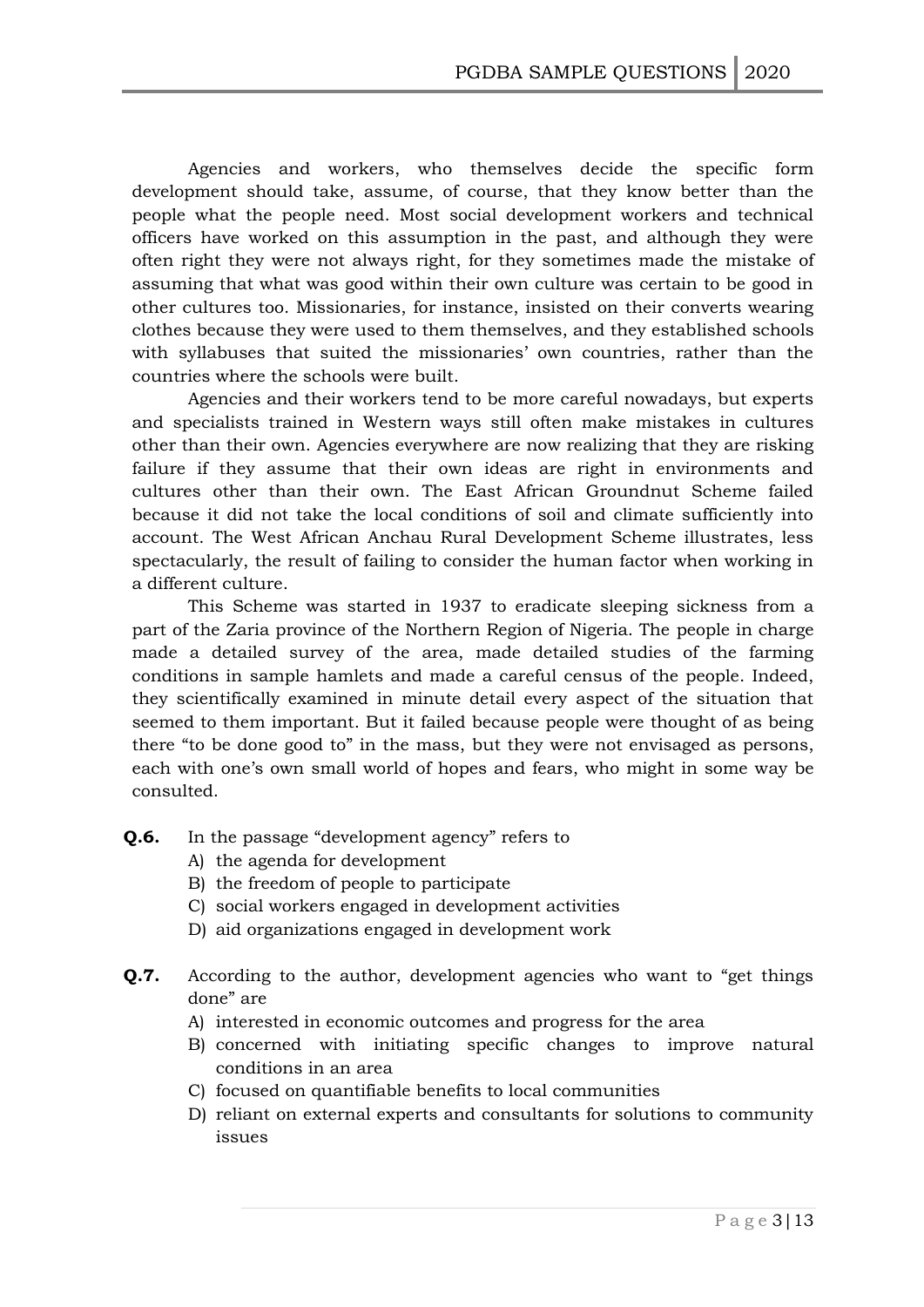Agencies and workers, who themselves decide the specific form development should take, assume, of course, that they know better than the people what the people need. Most social development workers and technical officers have worked on this assumption in the past, and although they were often right they were not always right, for they sometimes made the mistake of assuming that what was good within their own culture was certain to be good in other cultures too. Missionaries, for instance, insisted on their converts wearing clothes because they were used to them themselves, and they established schools with syllabuses that suited the missionaries' own countries, rather than the countries where the schools were built.

Agencies and their workers tend to be more careful nowadays, but experts and specialists trained in Western ways still often make mistakes in cultures other than their own. Agencies everywhere are now realizing that they are risking failure if they assume that their own ideas are right in environments and cultures other than their own. The East African Groundnut Scheme failed because it did not take the local conditions of soil and climate sufficiently into account. The West African Anchau Rural Development Scheme illustrates, less spectacularly, the result of failing to consider the human factor when working in a different culture.

This Scheme was started in 1937 to eradicate sleeping sickness from a part of the Zaria province of the Northern Region of Nigeria. The people in charge made a detailed survey of the area, made detailed studies of the farming conditions in sample hamlets and made a careful census of the people. Indeed, they scientifically examined in minute detail every aspect of the situation that seemed to them important. But it failed because people were thought of as being there "to be done good to" in the mass, but they were not envisaged as persons, each with one's own small world of hopes and fears, who might in some way be consulted.

- **Q.6.** In the passage "development agency" refers to
	- A) the agenda for development
	- B) the freedom of people to participate
	- C) social workers engaged in development activities
	- D) aid organizations engaged in development work
- **Q.7.** According to the author, development agencies who want to "get things" done" are
	- A) interested in economic outcomes and progress for the area
	- B) concerned with initiating specific changes to improve natural conditions in an area
	- C) focused on quantifiable benefits to local communities
	- D) reliant on external experts and consultants for solutions to community issues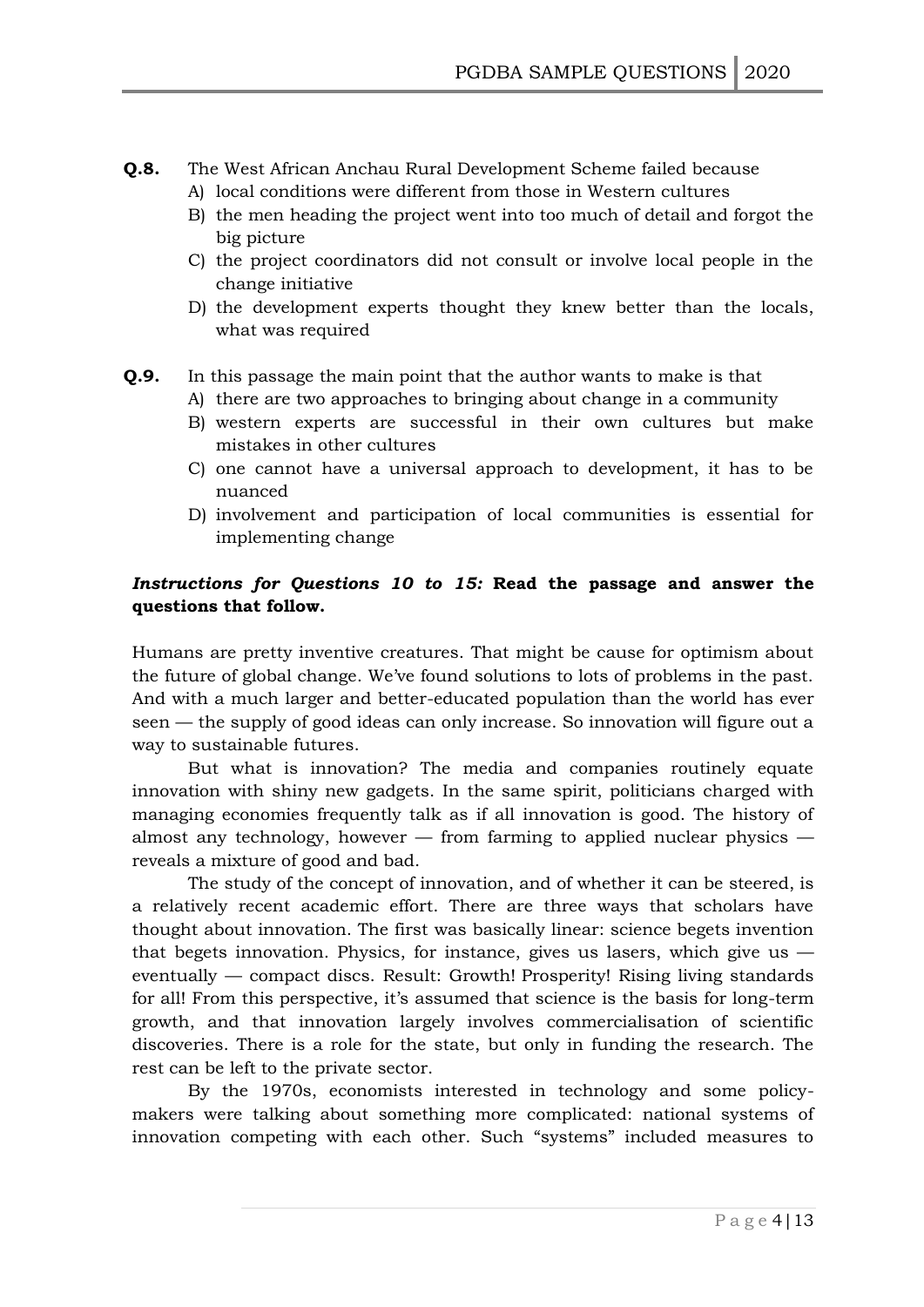- **Q.8.** The West African Anchau Rural Development Scheme failed because
	- A) local conditions were different from those in Western cultures
	- B) the men heading the project went into too much of detail and forgot the big picture
	- C) the project coordinators did not consult or involve local people in the change initiative
	- D) the development experts thought they knew better than the locals, what was required
- **Q.9.** In this passage the main point that the author wants to make is that
	- A) there are two approaches to bringing about change in a community
	- B) western experts are successful in their own cultures but make mistakes in other cultures
	- C) one cannot have a universal approach to development, it has to be nuanced
	- D) involvement and participation of local communities is essential for implementing change

# *Instructions for Questions 10 to 15:* **Read the passage and answer the questions that follow.**

Humans are pretty inventive creatures. That might be cause for optimism about the future of global change. We"ve found solutions to lots of problems in the past. And with a much larger and better-educated population than the world has ever seen — the supply of good ideas can only increase. So innovation will figure out a way to sustainable futures.

But what is innovation? The media and companies routinely equate innovation with shiny new gadgets. In the same spirit, politicians charged with managing economies frequently talk as if all innovation is good. The history of almost any technology, however  $-$  from farming to applied nuclear physics  $$ reveals a mixture of good and bad.

The study of the concept of innovation, and of whether it can be steered, is a relatively recent academic effort. There are three ways that scholars have thought about innovation. The first was basically linear: science begets invention that begets innovation. Physics, for instance, gives us lasers, which give us eventually — compact discs. Result: Growth! Prosperity! Rising living standards for all! From this perspective, it's assumed that science is the basis for long-term growth, and that innovation largely involves commercialisation of scientific discoveries. There is a role for the state, but only in funding the research. The rest can be left to the private sector.

By the 1970s, economists interested in technology and some policymakers were talking about something more complicated: national systems of innovation competing with each other. Such "systems" included measures to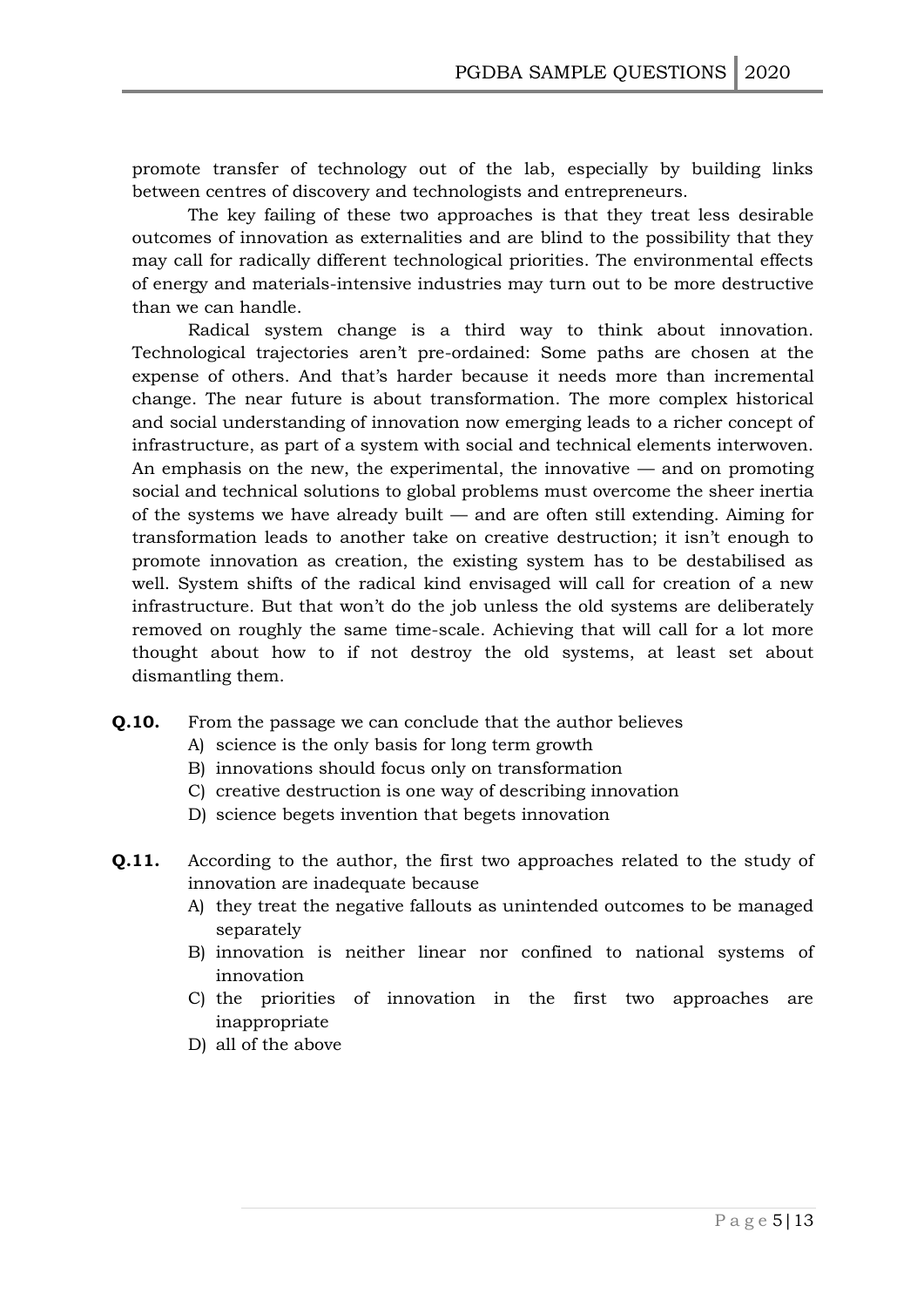promote transfer of technology out of the lab, especially by building links between centres of discovery and technologists and entrepreneurs.

The key failing of these two approaches is that they treat less desirable outcomes of innovation as externalities and are blind to the possibility that they may call for radically different technological priorities. The environmental effects of energy and materials-intensive industries may turn out to be more destructive than we can handle.

Radical system change is a third way to think about innovation. Technological trajectories aren"t pre-ordained: Some paths are chosen at the expense of others. And that"s harder because it needs more than incremental change. The near future is about transformation. The more complex historical and social understanding of innovation now emerging leads to a richer concept of infrastructure, as part of a system with social and technical elements interwoven. An emphasis on the new, the experimental, the innovative — and on promoting social and technical solutions to global problems must overcome the sheer inertia of the systems we have already built — and are often still extending. Aiming for transformation leads to another take on creative destruction; it isn"t enough to promote innovation as creation, the existing system has to be destabilised as well. System shifts of the radical kind envisaged will call for creation of a new infrastructure. But that won't do the job unless the old systems are deliberately removed on roughly the same time-scale. Achieving that will call for a lot more thought about how to if not destroy the old systems, at least set about dismantling them.

- **Q.10.** From the passage we can conclude that the author believes
	- A) science is the only basis for long term growth
	- B) innovations should focus only on transformation
	- C) creative destruction is one way of describing innovation
	- D) science begets invention that begets innovation
- **Q.11.** According to the author, the first two approaches related to the study of innovation are inadequate because
	- A) they treat the negative fallouts as unintended outcomes to be managed separately
	- B) innovation is neither linear nor confined to national systems of innovation
	- C) the priorities of innovation in the first two approaches are inappropriate
	- D) all of the above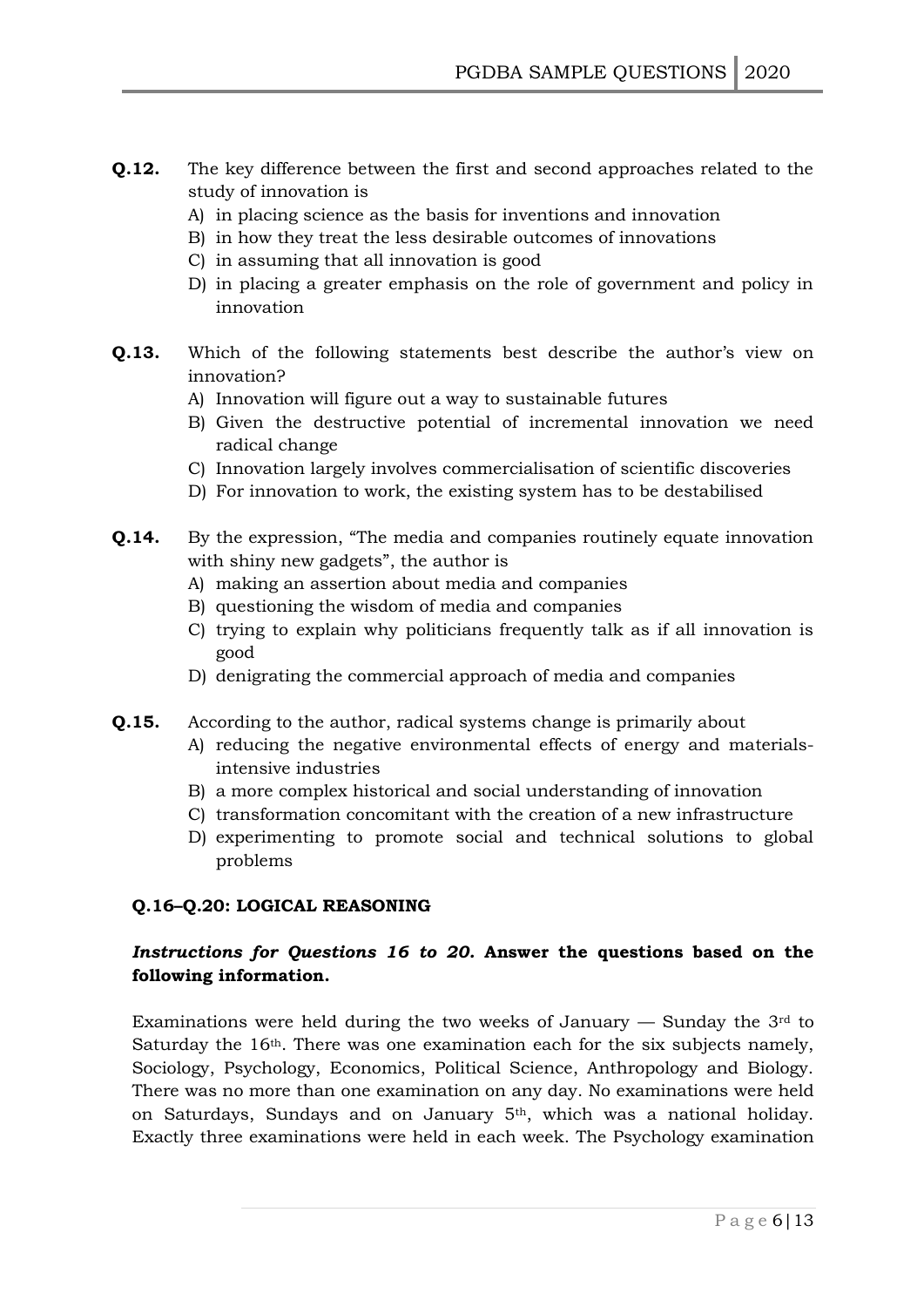- **Q.12.** The key difference between the first and second approaches related to the study of innovation is
	- A) in placing science as the basis for inventions and innovation
	- B) in how they treat the less desirable outcomes of innovations
	- C) in assuming that all innovation is good
	- D) in placing a greater emphasis on the role of government and policy in innovation
- **Q.13.** Which of the following statements best describe the author's view on innovation?
	- A) Innovation will figure out a way to sustainable futures
	- B) Given the destructive potential of incremental innovation we need radical change
	- C) Innovation largely involves commercialisation of scientific discoveries
	- D) For innovation to work, the existing system has to be destabilised
- **Q.14.** By the expression, "The media and companies routinely equate innovation with shiny new gadgets", the author is
	- A) making an assertion about media and companies
	- B) questioning the wisdom of media and companies
	- C) trying to explain why politicians frequently talk as if all innovation is good
	- D) denigrating the commercial approach of media and companies
- **Q.15.** According to the author, radical systems change is primarily about
	- A) reducing the negative environmental effects of energy and materialsintensive industries
	- B) a more complex historical and social understanding of innovation
	- C) transformation concomitant with the creation of a new infrastructure
	- D) experimenting to promote social and technical solutions to global problems

#### **Q.16–Q.20: LOGICAL REASONING**

# *Instructions for Questions 16 to 20.* **Answer the questions based on the following information.**

Examinations were held during the two weeks of January  $-$  Sunday the  $3<sup>rd</sup>$  to Saturday the 16<sup>th</sup>. There was one examination each for the six subjects namely, Sociology, Psychology, Economics, Political Science, Anthropology and Biology. There was no more than one examination on any day. No examinations were held on Saturdays, Sundays and on January 5th, which was a national holiday. Exactly three examinations were held in each week. The Psychology examination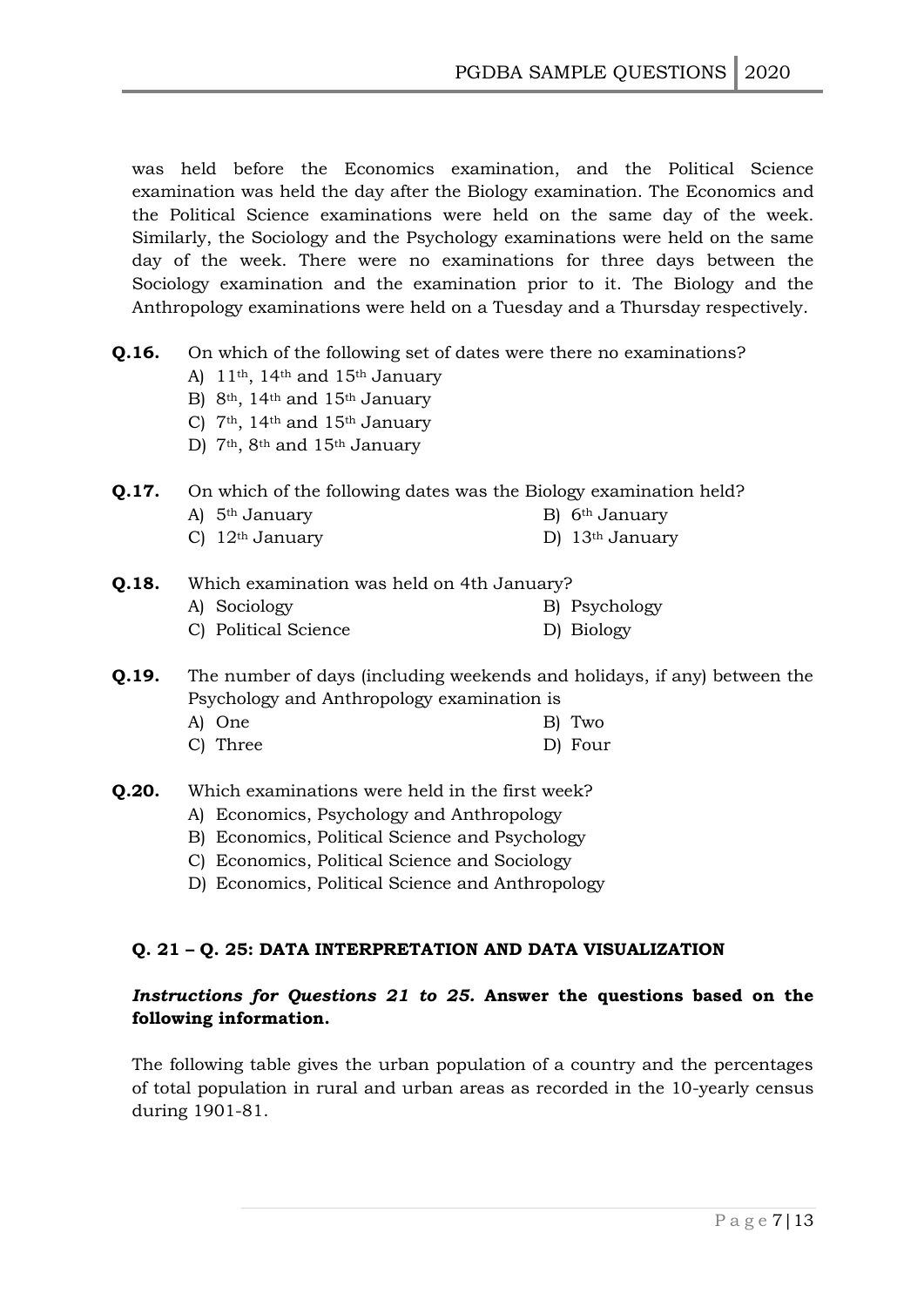was held before the Economics examination, and the Political Science examination was held the day after the Biology examination. The Economics and the Political Science examinations were held on the same day of the week. Similarly, the Sociology and the Psychology examinations were held on the same day of the week. There were no examinations for three days between the Sociology examination and the examination prior to it. The Biology and the Anthropology examinations were held on a Tuesday and a Thursday respectively.

- **Q.16.** On which of the following set of dates were there no examinations?
	- A) 11th, 14th and 15th January
	- B) 8<sup>th</sup>, 14<sup>th</sup> and 15<sup>th</sup> January
	- C) 7th, 14th and 15th January
	- D) 7<sup>th</sup>, 8<sup>th</sup> and 15<sup>th</sup> January

#### **Q.17.** On which of the following dates was the Biology examination held?

- A)  $5<sup>th</sup> January$  B)  $6<sup>th</sup> January$
- C)  $12<sup>th</sup> January$  D)  $13<sup>th</sup> January$
- **Q.18.** Which examination was held on 4th January? A) Sociology B) Psychology C) Political Science D) Biology
- **Q.19.** The number of days (including weekends and holidays, if any) between the Psychology and Anthropology examination is
	- A) One B) Two
	- C) Three D) Four
- **Q.20.** Which examinations were held in the first week?
	- A) Economics, Psychology and Anthropology
	- B) Economics, Political Science and Psychology
	- C) Economics, Political Science and Sociology
	- D) Economics, Political Science and Anthropology

# **Q. 21 – Q. 25: DATA INTERPRETATION AND DATA VISUALIZATION**

# *Instructions for Questions 21 to 25.* **Answer the questions based on the following information.**

The following table gives the urban population of a country and the percentages of total population in rural and urban areas as recorded in the 10-yearly census during 1901-81.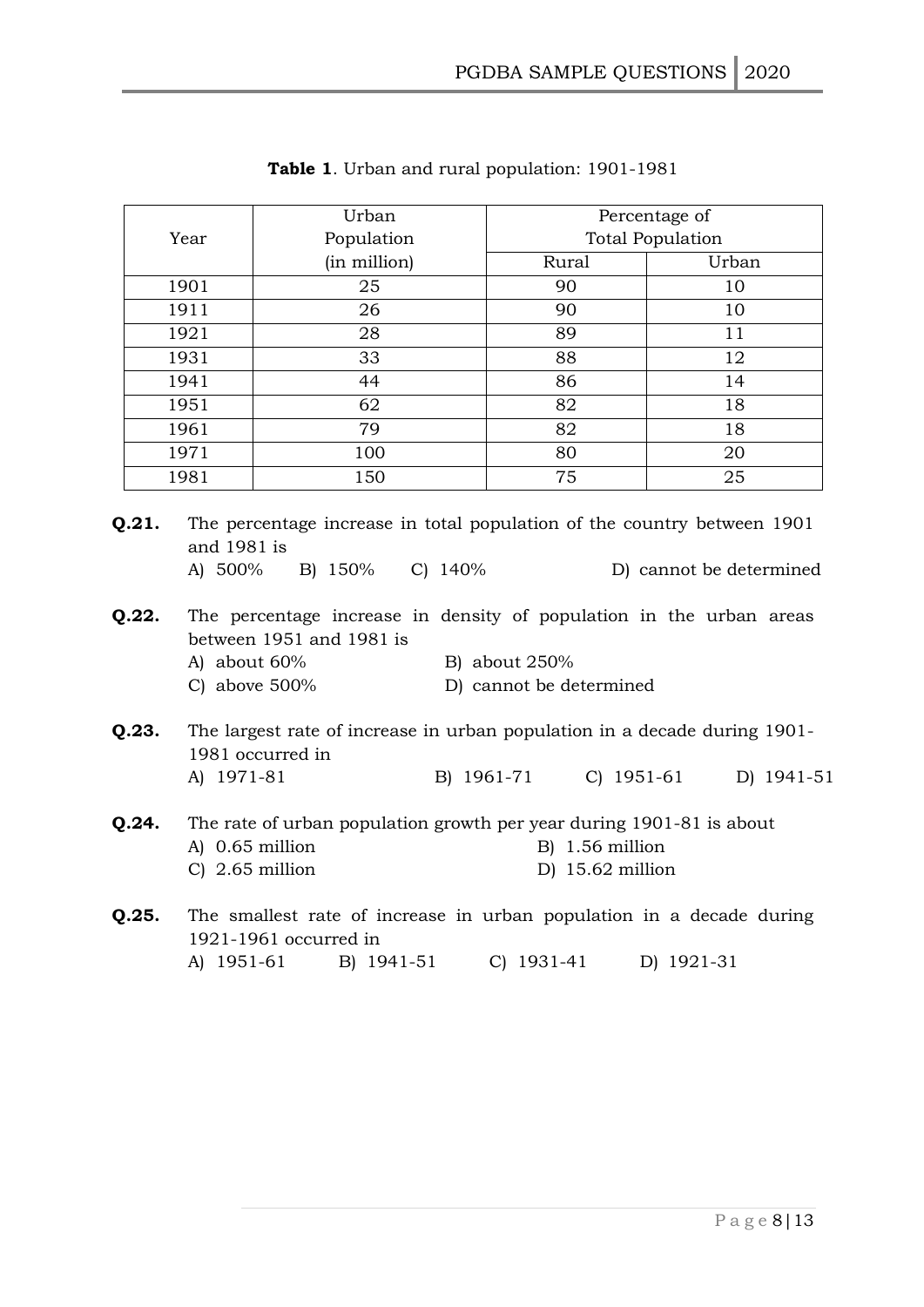| Year         |                                                                                                                                                                                                                                          | Urban                                                                                         |                         | Percentage of              |  |  |  |  |
|--------------|------------------------------------------------------------------------------------------------------------------------------------------------------------------------------------------------------------------------------------------|-----------------------------------------------------------------------------------------------|-------------------------|----------------------------|--|--|--|--|
|              |                                                                                                                                                                                                                                          | Population                                                                                    | <b>Total Population</b> |                            |  |  |  |  |
|              |                                                                                                                                                                                                                                          | (in million)                                                                                  | Rural                   | Urban                      |  |  |  |  |
|              | 1901                                                                                                                                                                                                                                     | 25                                                                                            | 90                      | 10                         |  |  |  |  |
| 1911<br>1921 |                                                                                                                                                                                                                                          | 26                                                                                            | 90                      | 10                         |  |  |  |  |
|              |                                                                                                                                                                                                                                          | 28                                                                                            | 89                      | 11                         |  |  |  |  |
|              | 1931                                                                                                                                                                                                                                     | 33                                                                                            | 88                      | 12                         |  |  |  |  |
|              | 1941                                                                                                                                                                                                                                     | 44                                                                                            | 86                      | 14                         |  |  |  |  |
|              | 1951                                                                                                                                                                                                                                     | 62                                                                                            | 82                      | 18                         |  |  |  |  |
|              | 1961                                                                                                                                                                                                                                     | 79                                                                                            | 82                      | 18                         |  |  |  |  |
|              | 1971                                                                                                                                                                                                                                     | 100                                                                                           | 80                      | 20                         |  |  |  |  |
|              | 1981                                                                                                                                                                                                                                     | 150                                                                                           | 75                      | 25                         |  |  |  |  |
| Q.22.        | A) 500%<br>B) 150% C) 140%<br>D) cannot be determined<br>The percentage increase in density of population in the urban areas<br>between 1951 and 1981 is<br>A) about 60%<br>B) about 250%<br>C) above $500\%$<br>D) cannot be determined |                                                                                               |                         |                            |  |  |  |  |
| Q.23.        | A) 1971-81                                                                                                                                                                                                                               | The largest rate of increase in urban population in a decade during 1901-<br>1981 occurred in | B) 1961-71              | $C)$ 1951-61<br>D) 1941-51 |  |  |  |  |
| Q.24.        | The rate of urban population growth per year during 1901-81 is about<br>A) 0.65 million<br>$B)$ 1.56 million<br>$C)$ 2.65 million<br>$D)$ 15.62 million                                                                                  |                                                                                               |                         |                            |  |  |  |  |
| Q.25.        | The smallest rate of increase in urban population in a decade during                                                                                                                                                                     |                                                                                               |                         |                            |  |  |  |  |

| Table 1. Urban and rural population: 1901-1981 |  |  |  |  |
|------------------------------------------------|--|--|--|--|
|                                                |  |  |  |  |

1921-1961 occurred in A) 1951-61 B) 1941-51 C) 1931-41 D) 1921-31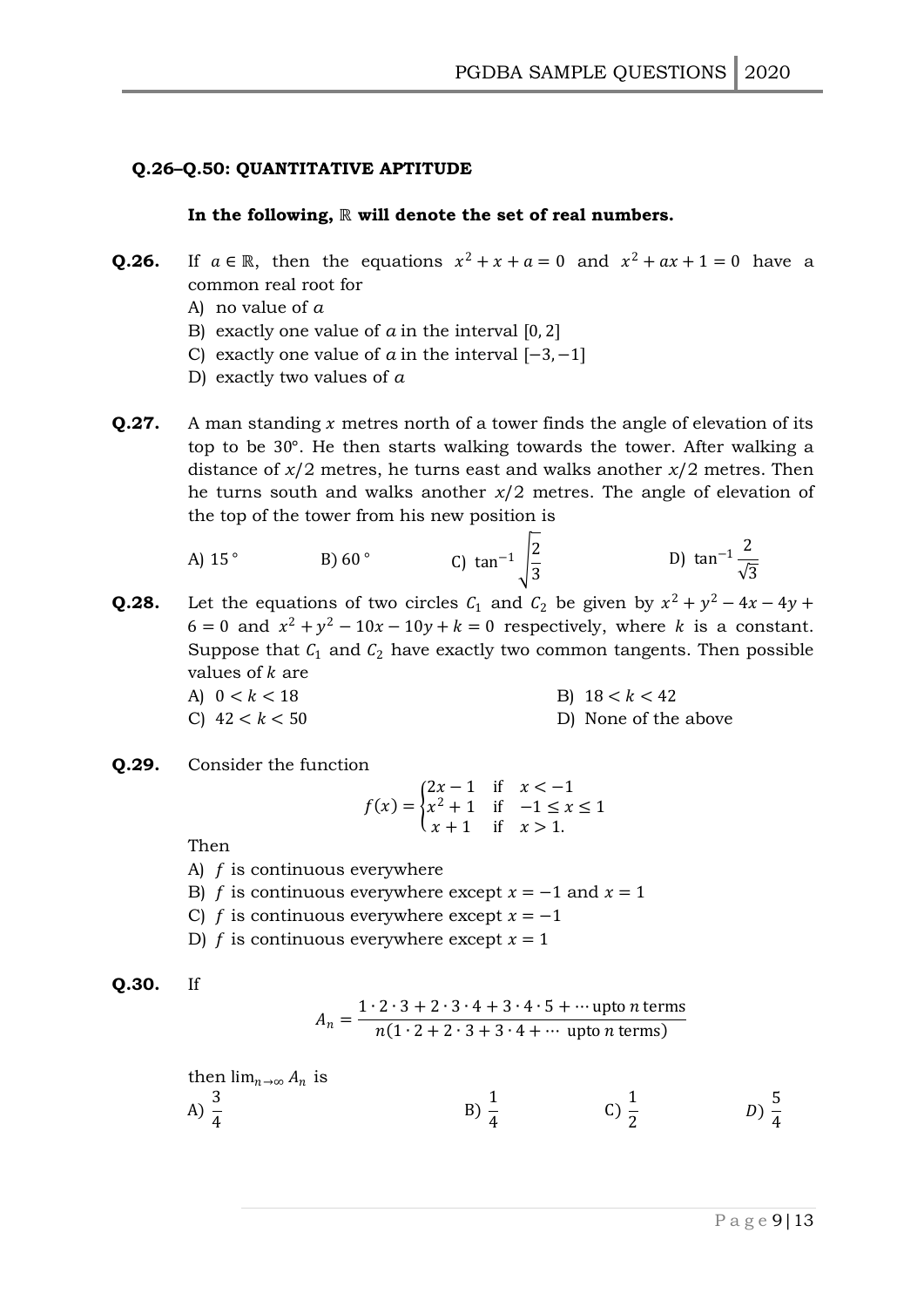#### **Q.26–Q.50: QUANTITATIVE APTITUDE**

#### **In the following,** ℝ **will denote the set of real numbers.**

- **Q.26.** If  $a \in \mathbb{R}$ , then the equations  $x^2 + x + a = 0$  and  $x^2 + ax + 1 = 0$  have a common real root for
	- A) no value of *a*
	- B) exactly one value of  $a$  in the interval  $[0, 2]$
	- C) exactly one value of  $\alpha$  in the interval  $[-3, -1]$
	- D) exactly two values of *a*
- **Q.27.** A man standing x metres north of a tower finds the angle of elevation of its top to be 30°. He then starts walking towards the tower. After walking a distance of *x*/2 metres, he turns east and walks another *x*/2 metres. Then he turns south and walks another *x*/2 metres. The angle of elevation of the top of the tower from his new position is

A) 15° \t\t B) 60° \t\t C) 
$$
\tan^{-1}\sqrt{\frac{2}{3}}
$$
 \t\t D)  $\tan^{-1}\frac{2}{\sqrt{3}}$ 

**Q.28.** Let the equations of two circles  $C_1$  and  $C_2$  be given by  $x^2 + y^2 - 4x - 4y +$  $6 = 0$  and  $x^2 + y^2 - 10x - 10y + k = 0$  respectively, where k is a constant. Suppose that  $C_1$  and  $C_2$  have exactly two common tangents. Then possible values of  $k$  are

- A)  $0 < k < 18$  B)  $18 < k < 42$ C)  $42 < k < 50$  D) None of the above
- **Q.29.** Consider the function

$$
f(x) = \begin{cases} 2x - 1 & \text{if } x < -1 \\ x^2 + 1 & \text{if } -1 \le x \le 1 \\ x + 1 & \text{if } x > 1. \end{cases}
$$

Then

- A)  $f$  is continuous everywhere
- B) *f* is continuous everywhere except  $x = -1$  and  $x = 1$
- C)  $f$  is continuous everywhere except  $x = -1$
- D) f is continuous everywhere except  $x = 1$

$$
Q.30. \quad \text{If}
$$

$$
A_n = \frac{1 \cdot 2 \cdot 3 + 2 \cdot 3 \cdot 4 + 3 \cdot 4 \cdot 5 + \dots \text{ upto } n \text{ terms}}{n(1 \cdot 2 + 2 \cdot 3 + 3 \cdot 4 + \dots \text{ upto } n \text{ terms})}
$$

then  $\lim_{n\to\infty} A_n$  is

A) 
$$
\frac{3}{4}
$$
 \t\t B)  $\frac{1}{4}$  \t\t C)  $\frac{1}{2}$  \t\t D)  $\frac{5}{4}$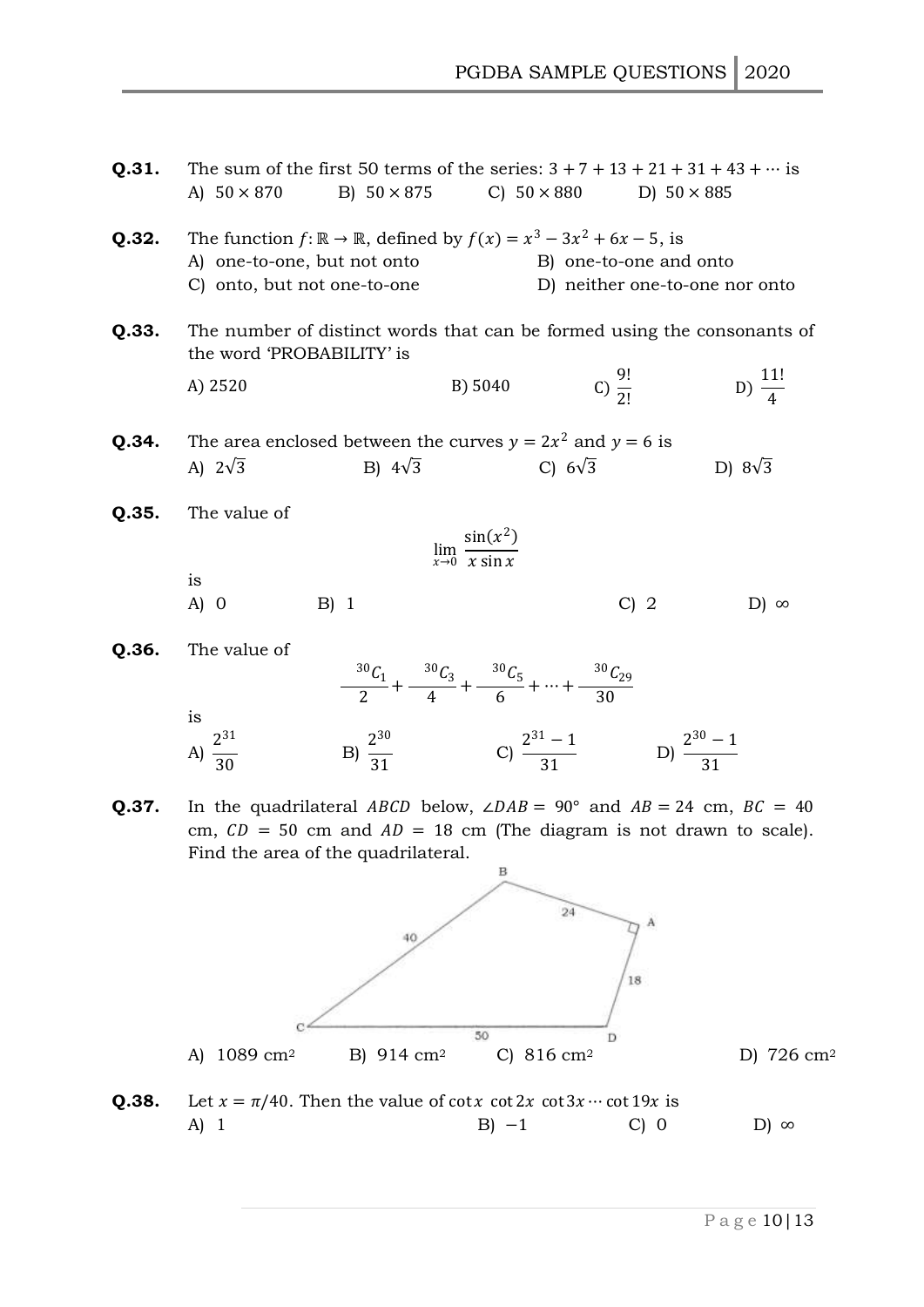| Q.31. | The sum of the first 50 terms of the series: $3 + 7 + 13 + 21 + 31 + 43 + \cdots$ is<br>A) $50 \times 870$                                                                                              | B) $50 \times 875$ |                                                                                                     | C) $50 \times 880$ D) $50 \times 885$                                    |                                                                         |
|-------|---------------------------------------------------------------------------------------------------------------------------------------------------------------------------------------------------------|--------------------|-----------------------------------------------------------------------------------------------------|--------------------------------------------------------------------------|-------------------------------------------------------------------------|
| Q.32. | The function $f: \mathbb{R} \to \mathbb{R}$ , defined by $f(x) = x^3 - 3x^2 + 6x - 5$ , is<br>A) one-to-one, but not onto<br>C) onto, but not one-to-one                                                |                    |                                                                                                     | B) one-to-one and onto<br>D) neither one-to-one nor onto                 |                                                                         |
| Q.33. | the word 'PROBABILITY' is                                                                                                                                                                               |                    |                                                                                                     |                                                                          | The number of distinct words that can be formed using the consonants of |
|       | A) 2520                                                                                                                                                                                                 |                    | B) 5040                                                                                             | C) $\frac{9!}{2!}$                                                       | D) $\frac{11!}{4}$                                                      |
| Q.34. | The area enclosed between the curves $y = 2x^2$ and $y = 6$ is<br>A) $2\sqrt{3}$                                                                                                                        | B) $4\sqrt{3}$     |                                                                                                     | C) $6\sqrt{3}$                                                           | D) $8\sqrt{3}$                                                          |
| Q.35. | The value of                                                                                                                                                                                            |                    | $\lim_{x\to 0}\frac{\sin(x^2)}{x\sin x}$                                                            |                                                                          |                                                                         |
|       |                                                                                                                                                                                                         |                    |                                                                                                     |                                                                          |                                                                         |
|       | is<br>A) 0                                                                                                                                                                                              | $B)$ 1             |                                                                                                     | $C$ ) 2                                                                  | $D) \infty$                                                             |
| Q.36. | The value of                                                                                                                                                                                            |                    | $\frac{30 \, C_1}{2} + \frac{30 \, C_3}{4} + \frac{30 \, C_5}{6} + \dots + \frac{30 \, C_{29}}{20}$ |                                                                          |                                                                         |
|       | is<br>A) $\frac{2^{31}}{30}$                                                                                                                                                                            |                    |                                                                                                     | B) $\frac{2^{30}}{31}$ C) $\frac{2^{31}-1}{31}$ D) $\frac{2^{30}-1}{31}$ |                                                                         |
| Q.37. | In the quadrilateral ABCD below, $\angle DAB = 90^{\circ}$ and $AB = 24$ cm, $BC = 40$<br>cm, $CD = 50$ cm and $AD = 18$ cm (The diagram is not drawn to scale).<br>Find the area of the quadrilateral. |                    |                                                                                                     |                                                                          |                                                                         |
|       |                                                                                                                                                                                                         |                    | в                                                                                                   | 24<br>A                                                                  |                                                                         |
|       |                                                                                                                                                                                                         |                    |                                                                                                     |                                                                          |                                                                         |
|       |                                                                                                                                                                                                         |                    |                                                                                                     | 18                                                                       |                                                                         |
|       | $1089$ cm <sup>2</sup><br>A)                                                                                                                                                                            | B) 914 $cm2$       | 50<br>C) $816 \text{ cm}^2$                                                                         | D                                                                        | D) 726 cm <sup>2</sup>                                                  |
| Q.38. | Let $x = \pi/40$ . Then the value of cot x cot 2x cot 3x $\cdots$ cot 19x is                                                                                                                            |                    |                                                                                                     |                                                                          |                                                                         |
|       | A) 1                                                                                                                                                                                                    |                    | $B$ ) $-1$                                                                                          | $C)$ 0                                                                   | $D) \infty$                                                             |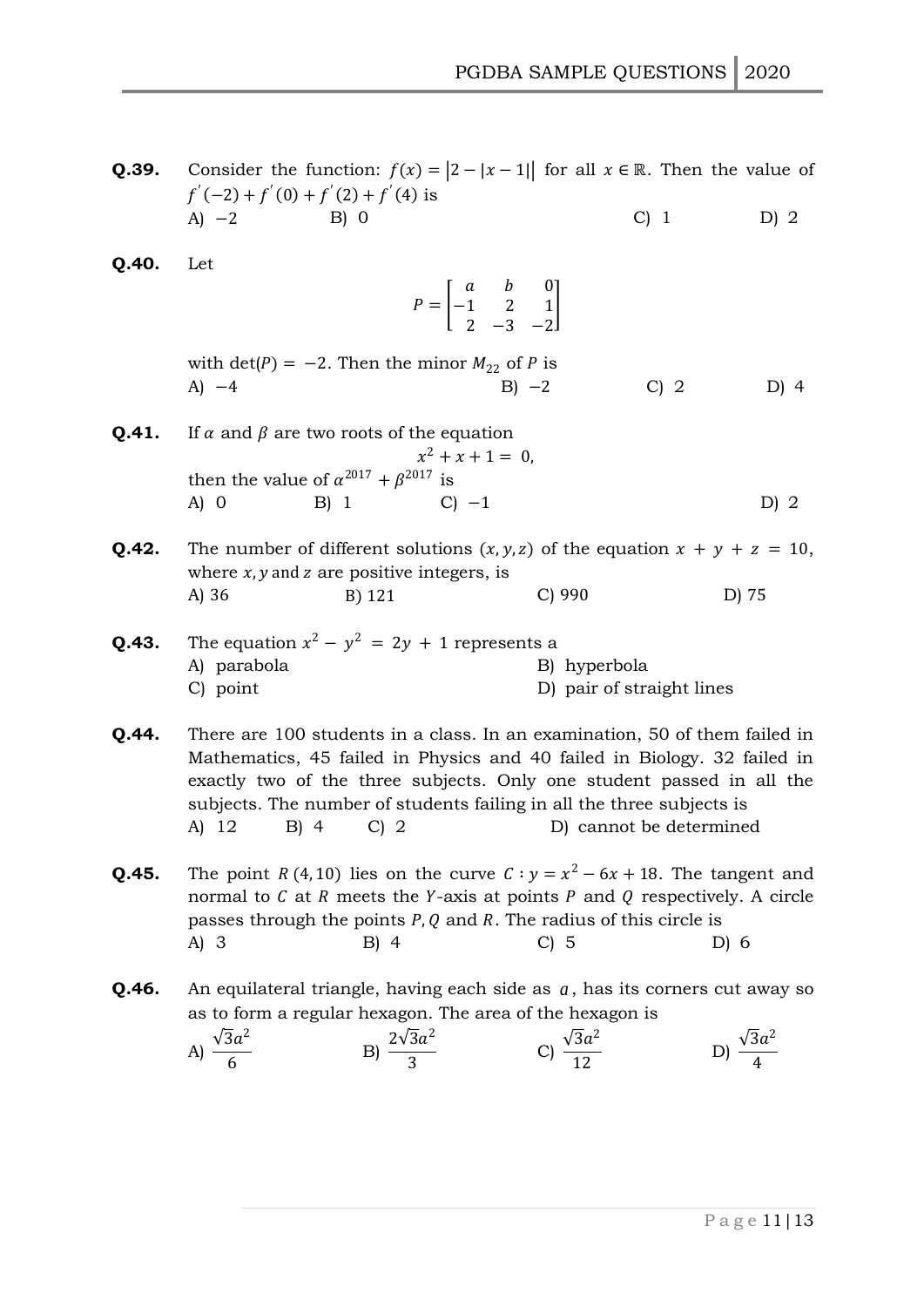**Q.39.** Consider the function:  $f(x) = |2 - |x - 1|$  for all  $x \in \mathbb{R}$ . Then the value of  $f'(-2) + f'(0) + f'(2) + f'(4)$  is A)  $-2$  B) 0 C) 1 D) 2

| Q.40. | Let                                                                                                                                                                                                                                                                                                                                                               |                                                                            |                                           |                            |  |  |
|-------|-------------------------------------------------------------------------------------------------------------------------------------------------------------------------------------------------------------------------------------------------------------------------------------------------------------------------------------------------------------------|----------------------------------------------------------------------------|-------------------------------------------|----------------------------|--|--|
|       |                                                                                                                                                                                                                                                                                                                                                                   | $P = \begin{bmatrix} a & b & 0 \\ -1 & 2 & 1 \\ 2 & -2 & -2 \end{bmatrix}$ |                                           |                            |  |  |
|       |                                                                                                                                                                                                                                                                                                                                                                   |                                                                            |                                           |                            |  |  |
|       | with $\det(P) = -2$ . Then the minor $M_{22}$ of P is<br>A) $-4$                                                                                                                                                                                                                                                                                                  |                                                                            | $B$ ) $-2$                                | $C$ ) 2<br>$D)$ 4          |  |  |
| Q.41. | If $\alpha$ and $\beta$ are two roots of the equation                                                                                                                                                                                                                                                                                                             | $x^2 + x + 1 = 0$ ,                                                        |                                           |                            |  |  |
|       | then the value of $\alpha^{2017}+\beta^{2017}$ is<br>B) 1<br>$A)$ O                                                                                                                                                                                                                                                                                               | $C$ ) $-1$                                                                 |                                           | D) 2                       |  |  |
| Q.42. | The number of different solutions $(x, y, z)$ of the equation $x + y + z = 10$ ,<br>where $x, y$ and z are positive integers, is                                                                                                                                                                                                                                  |                                                                            |                                           |                            |  |  |
|       | A) 36                                                                                                                                                                                                                                                                                                                                                             | B) 121                                                                     | $C$ ) 990                                 | D) 75                      |  |  |
| Q.43. | The equation $x^2 - y^2 = 2y + 1$ represents a<br>A) parabola<br>C) point                                                                                                                                                                                                                                                                                         |                                                                            | B) hyperbola<br>D) pair of straight lines |                            |  |  |
| Q.44. | There are 100 students in a class. In an examination, 50 of them failed in<br>Mathematics, 45 failed in Physics and 40 failed in Biology. 32 failed in<br>exactly two of the three subjects. Only one student passed in all the<br>subjects. The number of students failing in all the three subjects is<br>A) 12<br>$B)$ 4<br>D) cannot be determined<br>$C$ ) 2 |                                                                            |                                           |                            |  |  |
| Q.45. | The point R (4, 10) lies on the curve $C: y = x^2 - 6x + 18$ . The tangent and<br>normal to $C$ at $R$ meets the Y-axis at points $P$ and $Q$ respectively. A circle<br>passes through the points $P$ , $Q$ and $R$ . The radius of this circle is<br>A) 3 B) 4 C) 5 D) 6                                                                                         |                                                                            |                                           |                            |  |  |
| Q.46. | An equilateral triangle, having each side as $a$ , has its corners cut away so<br>as to form a regular hexagon. The area of the hexagon is                                                                                                                                                                                                                        |                                                                            |                                           |                            |  |  |
|       | A) $\frac{\sqrt{3}a^2}{6}$                                                                                                                                                                                                                                                                                                                                        | B) $\frac{2\sqrt{3}a^2}{2}$                                                | C) $\frac{\sqrt{3a^2}}{12}$               | D) $\frac{\sqrt{3}a^2}{4}$ |  |  |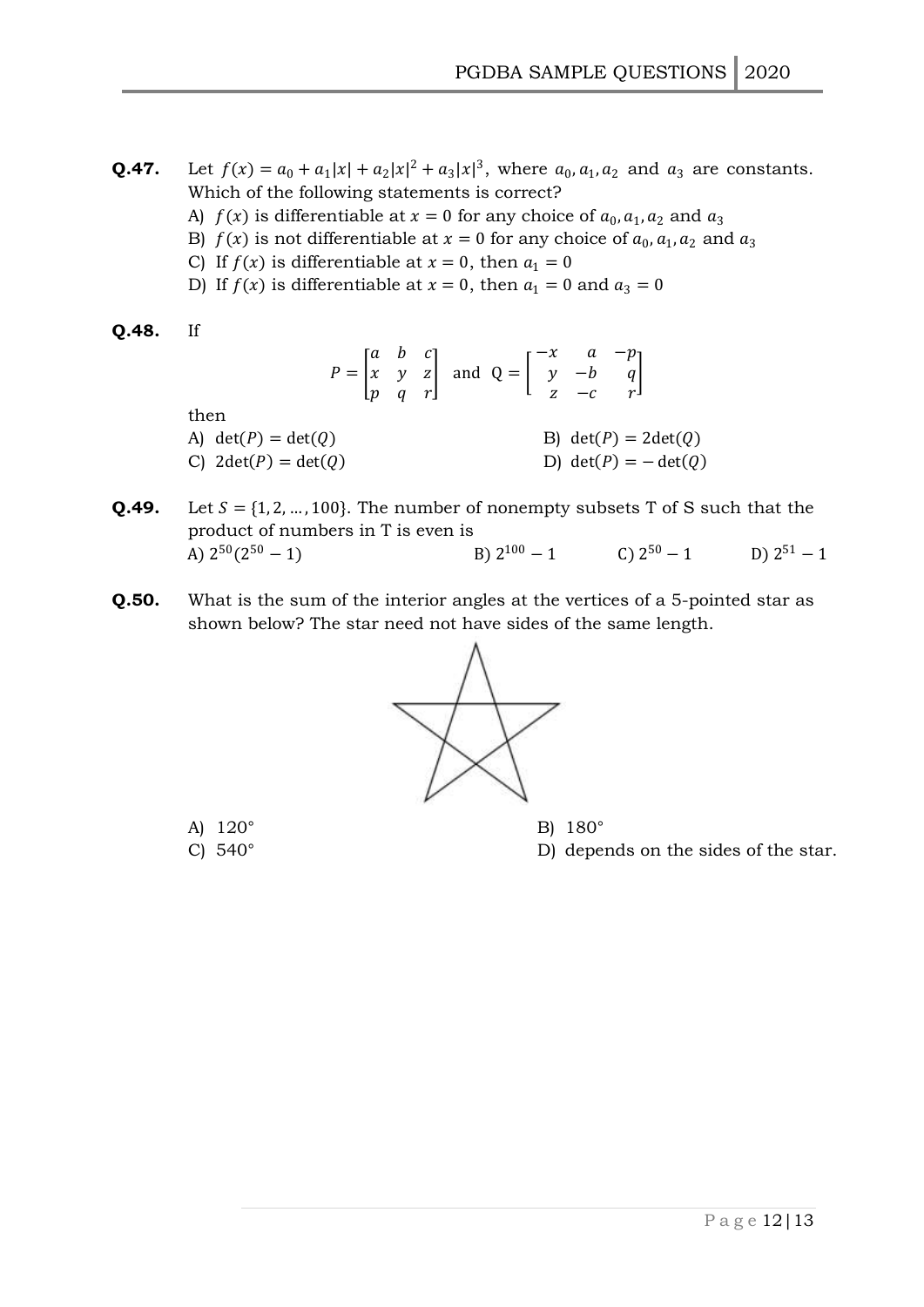- **Q.47.** Let  $f(x) = a_0 + a_1|x| + a_2|x|^2 + a_3|x|^3$ , where  $a_0, a_1, a_2$  and  $a_3$  are constants. Which of the following statements is correct?
	- A)  $f(x)$  is differentiable at  $x = 0$  for any choice of  $a_0, a_1, a_2$  and  $a_3$
	- B)  $f(x)$  is not differentiable at  $x = 0$  for any choice of  $a_0, a_1, a_2$  and  $a_3$
	- C) If  $f(x)$  is differentiable at  $x = 0$ , then  $a_1 = 0$
	- D) If  $f(x)$  is differentiable at  $x = 0$ , then  $a_1 = 0$  and  $a_3 = 0$

$$
Q.48. \quad \text{If}
$$

- $P = |$  $a \quad b \quad c$  $x \quad y \quad z$  $p \ q \ r$ | and  $Q =$  |  $-x$  a  $-p$  $y - b q$  $z - c$  r  $\overline{\phantom{a}}$ then A)  $det(P) = det(Q)$  B)  $det(P) = 2det(Q)$ C)  $2det(P) = det(Q)$  D)  $det(P) = -det(Q)$
- **Q.49.** Let  $S = \{1, 2, ..., 100\}$ . The number of nonempty subsets T of S such that the product of numbers in T is even is A)  $2^{50}(2^{50} - 1)$  B) 2  $100 - 1$  C)  $2^{50} - 1$  D) 2 D)  $2^{51} - 1$
- **Q.50.** What is the sum of the interior angles at the vertices of a 5-pointed star as shown below? The star need not have sides of the same length.



A) 120° B) 180°

C) 540° D) depends on the sides of the star.